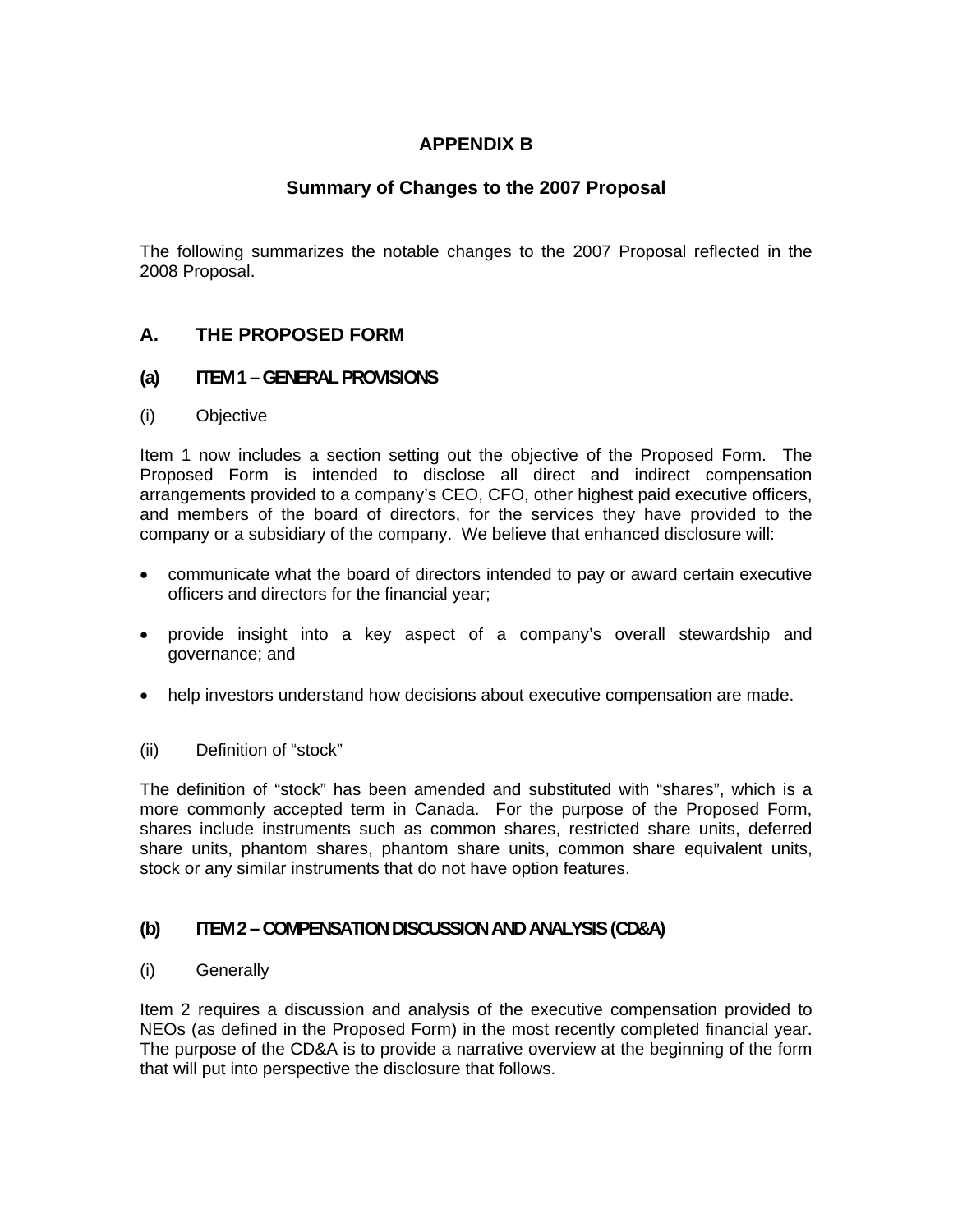# **APPENDIX B**

## **Summary of Changes to the 2007 Proposal**

The following summarizes the notable changes to the 2007 Proposal reflected in the 2008 Proposal.

## **A. THE PROPOSED FORM**

#### **(a) ITEM 1 – GENERAL PROVISIONS**

(i) Objective

Item 1 now includes a section setting out the objective of the Proposed Form. The Proposed Form is intended to disclose all direct and indirect compensation arrangements provided to a company's CEO, CFO, other highest paid executive officers, and members of the board of directors, for the services they have provided to the company or a subsidiary of the company. We believe that enhanced disclosure will:

- communicate what the board of directors intended to pay or award certain executive officers and directors for the financial year;
- provide insight into a key aspect of a company's overall stewardship and governance; and
- help investors understand how decisions about executive compensation are made.
- (ii) Definition of "stock"

The definition of "stock" has been amended and substituted with "shares", which is a more commonly accepted term in Canada. For the purpose of the Proposed Form, shares include instruments such as common shares, restricted share units, deferred share units, phantom shares, phantom share units, common share equivalent units, stock or any similar instruments that do not have option features.

#### **(b) ITEM 2 – COMPENSATION DISCUSSION AND ANALYSIS (CD&A)**

(i) Generally

Item 2 requires a discussion and analysis of the executive compensation provided to NEOs (as defined in the Proposed Form) in the most recently completed financial year. The purpose of the CD&A is to provide a narrative overview at the beginning of the form that will put into perspective the disclosure that follows.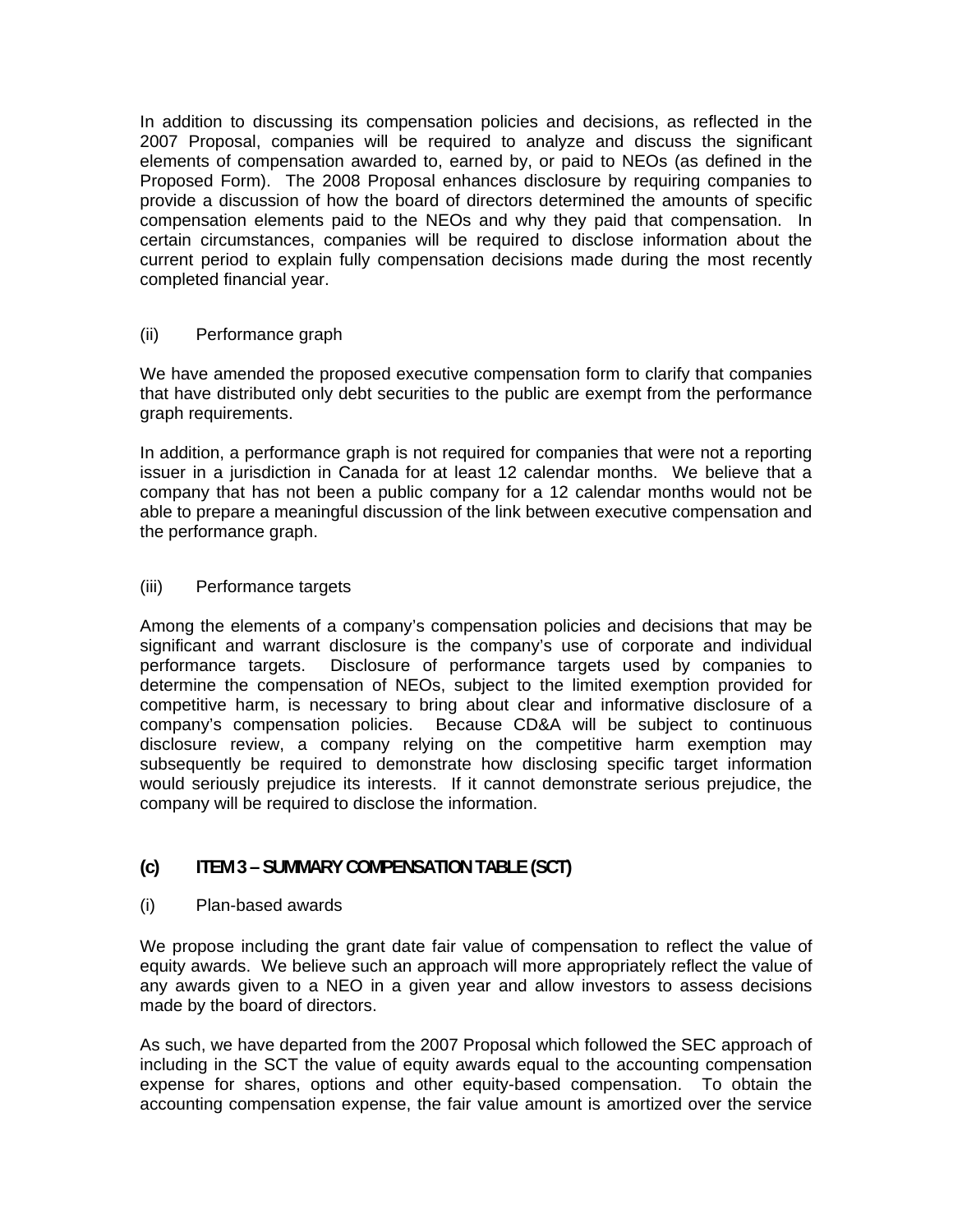In addition to discussing its compensation policies and decisions, as reflected in the 2007 Proposal, companies will be required to analyze and discuss the significant elements of compensation awarded to, earned by, or paid to NEOs (as defined in the Proposed Form). The 2008 Proposal enhances disclosure by requiring companies to provide a discussion of how the board of directors determined the amounts of specific compensation elements paid to the NEOs and why they paid that compensation. In certain circumstances, companies will be required to disclose information about the current period to explain fully compensation decisions made during the most recently completed financial year.

#### (ii) Performance graph

We have amended the proposed executive compensation form to clarify that companies that have distributed only debt securities to the public are exempt from the performance graph requirements.

In addition, a performance graph is not required for companies that were not a reporting issuer in a jurisdiction in Canada for at least 12 calendar months. We believe that a company that has not been a public company for a 12 calendar months would not be able to prepare a meaningful discussion of the link between executive compensation and the performance graph.

#### (iii) Performance targets

Among the elements of a company's compensation policies and decisions that may be significant and warrant disclosure is the company's use of corporate and individual performance targets. Disclosure of performance targets used by companies to determine the compensation of NEOs, subject to the limited exemption provided for competitive harm, is necessary to bring about clear and informative disclosure of a company's compensation policies. Because CD&A will be subject to continuous disclosure review, a company relying on the competitive harm exemption may subsequently be required to demonstrate how disclosing specific target information would seriously prejudice its interests. If it cannot demonstrate serious prejudice, the company will be required to disclose the information.

## **(c) ITEM 3 – SUMMARY COMPENSATION TABLE (SCT)**

(i) Plan-based awards

We propose including the grant date fair value of compensation to reflect the value of equity awards. We believe such an approach will more appropriately reflect the value of any awards given to a NEO in a given year and allow investors to assess decisions made by the board of directors.

As such, we have departed from the 2007 Proposal which followed the SEC approach of including in the SCT the value of equity awards equal to the accounting compensation expense for shares, options and other equity-based compensation. To obtain the accounting compensation expense, the fair value amount is amortized over the service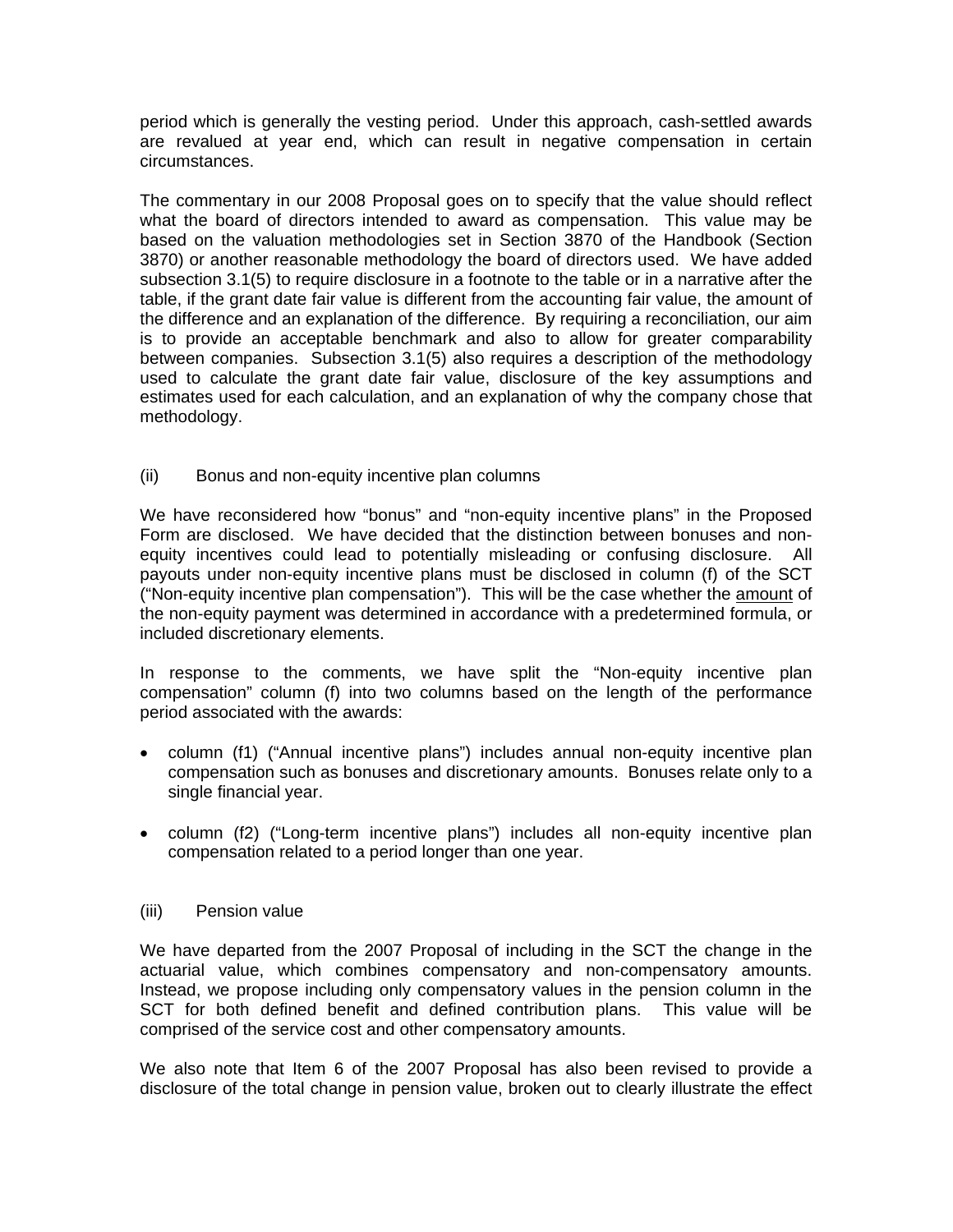period which is generally the vesting period. Under this approach, cash-settled awards are revalued at year end, which can result in negative compensation in certain circumstances.

The commentary in our 2008 Proposal goes on to specify that the value should reflect what the board of directors intended to award as compensation. This value may be based on the valuation methodologies set in Section 3870 of the Handbook (Section 3870) or another reasonable methodology the board of directors used. We have added subsection 3.1(5) to require disclosure in a footnote to the table or in a narrative after the table, if the grant date fair value is different from the accounting fair value, the amount of the difference and an explanation of the difference. By requiring a reconciliation, our aim is to provide an acceptable benchmark and also to allow for greater comparability between companies. Subsection 3.1(5) also requires a description of the methodology used to calculate the grant date fair value, disclosure of the key assumptions and estimates used for each calculation, and an explanation of why the company chose that methodology.

(ii) Bonus and non-equity incentive plan columns

We have reconsidered how "bonus" and "non-equity incentive plans" in the Proposed Form are disclosed. We have decided that the distinction between bonuses and nonequity incentives could lead to potentially misleading or confusing disclosure. All payouts under non-equity incentive plans must be disclosed in column (f) of the SCT ("Non-equity incentive plan compensation"). This will be the case whether the amount of the non-equity payment was determined in accordance with a predetermined formula, or included discretionary elements.

In response to the comments, we have split the "Non-equity incentive plan compensation" column (f) into two columns based on the length of the performance period associated with the awards:

- column (f1) ("Annual incentive plans") includes annual non-equity incentive plan compensation such as bonuses and discretionary amounts. Bonuses relate only to a single financial year.
- column (f2) ("Long-term incentive plans") includes all non-equity incentive plan compensation related to a period longer than one year.

#### (iii) Pension value

We have departed from the 2007 Proposal of including in the SCT the change in the actuarial value, which combines compensatory and non-compensatory amounts. Instead, we propose including only compensatory values in the pension column in the SCT for both defined benefit and defined contribution plans. This value will be comprised of the service cost and other compensatory amounts.

We also note that Item 6 of the 2007 Proposal has also been revised to provide a disclosure of the total change in pension value, broken out to clearly illustrate the effect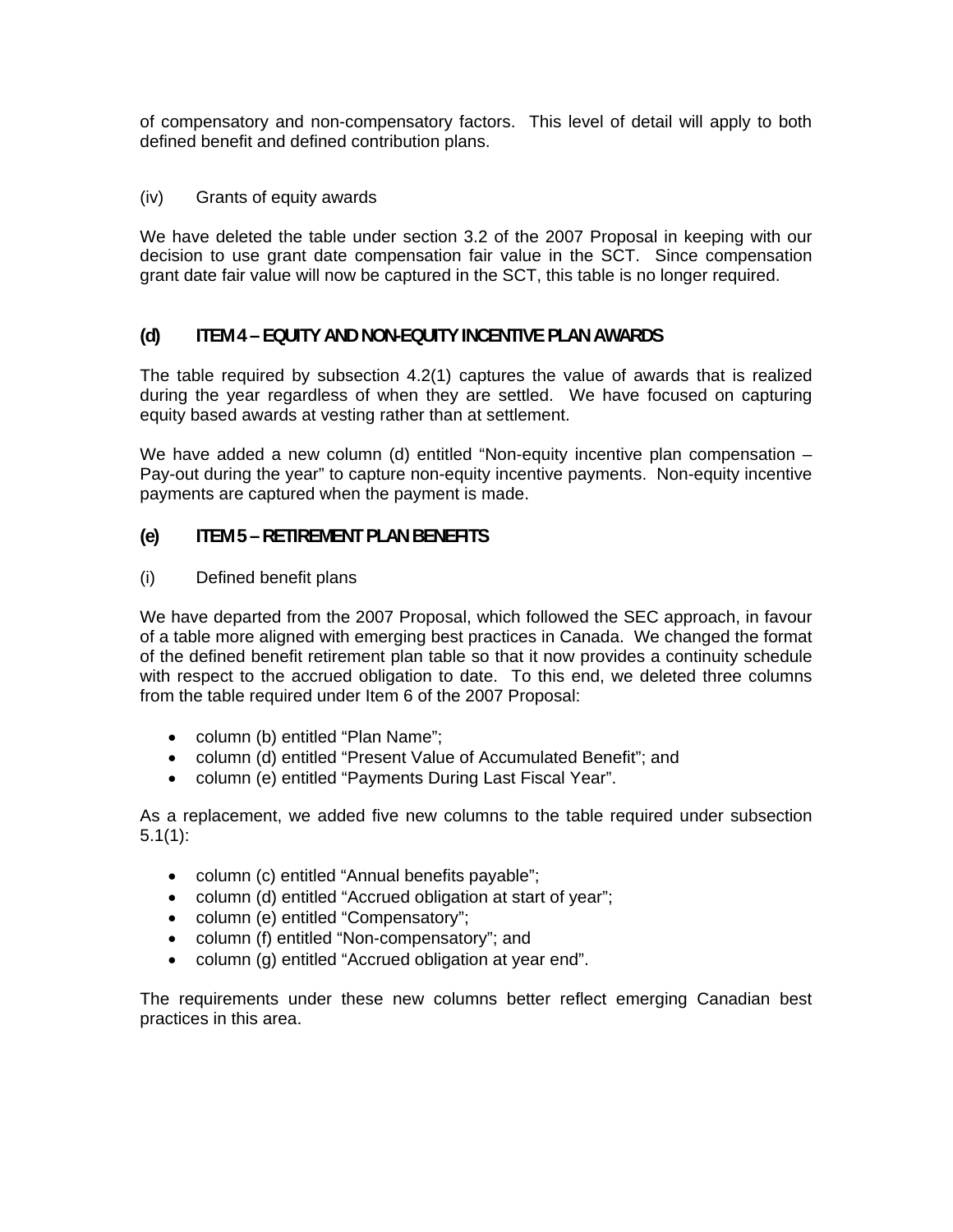of compensatory and non-compensatory factors. This level of detail will apply to both defined benefit and defined contribution plans.

#### (iv) Grants of equity awards

We have deleted the table under section 3.2 of the 2007 Proposal in keeping with our decision to use grant date compensation fair value in the SCT. Since compensation grant date fair value will now be captured in the SCT, this table is no longer required.

### **(d) ITEM 4 – EQUITY AND NON-EQUITY INCENTIVE PLAN AWARDS**

The table required by subsection 4.2(1) captures the value of awards that is realized during the year regardless of when they are settled. We have focused on capturing equity based awards at vesting rather than at settlement.

We have added a new column (d) entitled "Non-equity incentive plan compensation – Pay-out during the year" to capture non-equity incentive payments. Non-equity incentive payments are captured when the payment is made.

#### **(e) ITEM 5 – RETIREMENT PLAN BENEFITS**

(i) Defined benefit plans

We have departed from the 2007 Proposal, which followed the SEC approach, in favour of a table more aligned with emerging best practices in Canada. We changed the format of the defined benefit retirement plan table so that it now provides a continuity schedule with respect to the accrued obligation to date. To this end, we deleted three columns from the table required under Item 6 of the 2007 Proposal:

- column (b) entitled "Plan Name";
- column (d) entitled "Present Value of Accumulated Benefit"; and
- column (e) entitled "Payments During Last Fiscal Year".

As a replacement, we added five new columns to the table required under subsection  $5.1(1)$ :

- column (c) entitled "Annual benefits payable";
- column (d) entitled "Accrued obligation at start of year";
- column (e) entitled "Compensatory";
- column (f) entitled "Non-compensatory"; and
- column (g) entitled "Accrued obligation at year end".

The requirements under these new columns better reflect emerging Canadian best practices in this area.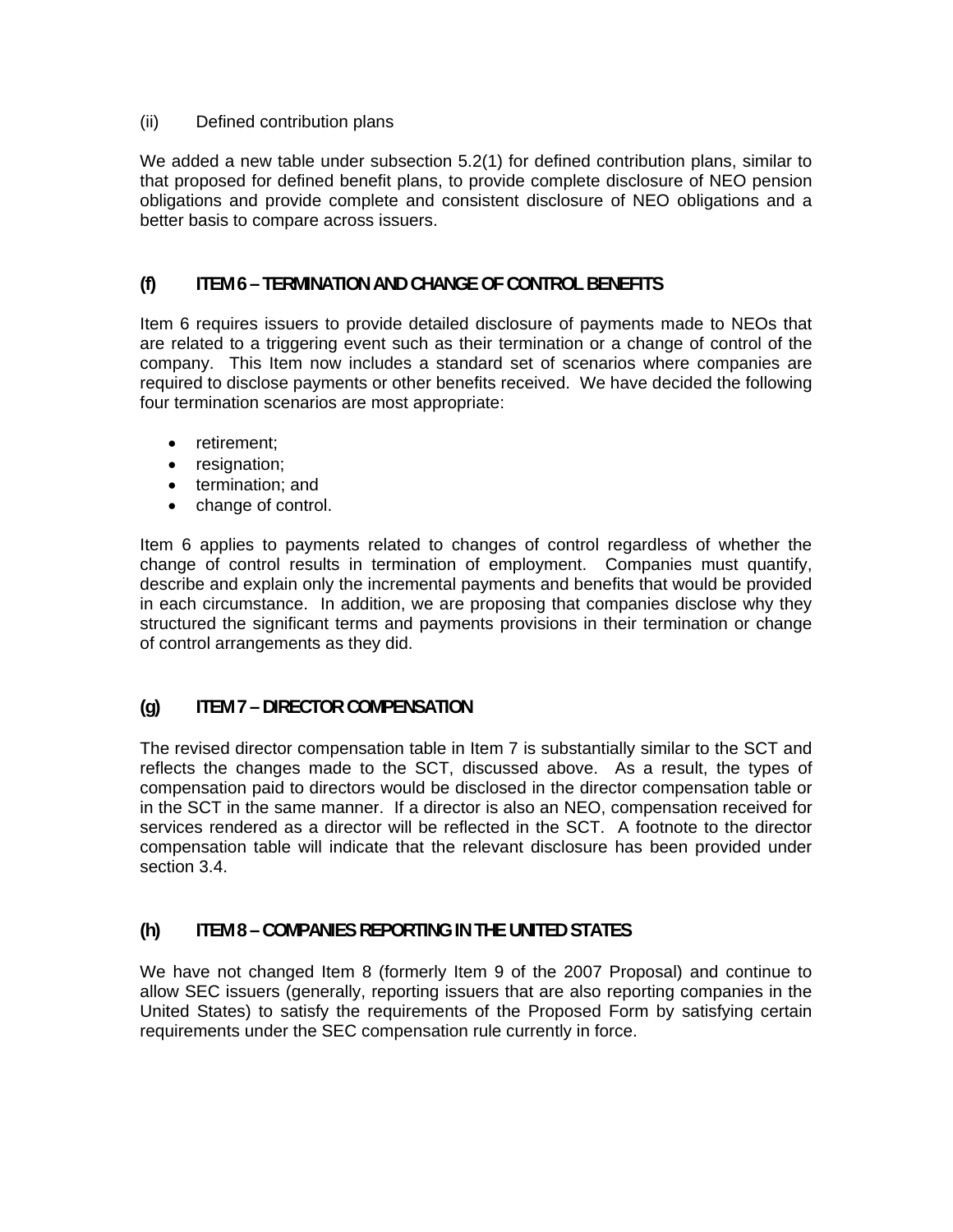#### (ii) Defined contribution plans

We added a new table under subsection 5.2(1) for defined contribution plans, similar to that proposed for defined benefit plans, to provide complete disclosure of NEO pension obligations and provide complete and consistent disclosure of NEO obligations and a better basis to compare across issuers.

### **(f) ITEM 6 – TERMINATION AND CHANGE OF CONTROL BENEFITS**

Item 6 requires issuers to provide detailed disclosure of payments made to NEOs that are related to a triggering event such as their termination or a change of control of the company. This Item now includes a standard set of scenarios where companies are required to disclose payments or other benefits received. We have decided the following four termination scenarios are most appropriate:

- retirement;
- resignation;
- termination; and
- change of control.

Item 6 applies to payments related to changes of control regardless of whether the change of control results in termination of employment. Companies must quantify, describe and explain only the incremental payments and benefits that would be provided in each circumstance. In addition, we are proposing that companies disclose why they structured the significant terms and payments provisions in their termination or change of control arrangements as they did.

## **(g) ITEM 7 – DIRECTOR COMPENSATION**

The revised director compensation table in Item 7 is substantially similar to the SCT and reflects the changes made to the SCT, discussed above. As a result, the types of compensation paid to directors would be disclosed in the director compensation table or in the SCT in the same manner. If a director is also an NEO, compensation received for services rendered as a director will be reflected in the SCT. A footnote to the director compensation table will indicate that the relevant disclosure has been provided under section 3.4.

## **(h) ITEM 8 – COMPANIES REPORTING IN THE UNITED STATES**

We have not changed Item 8 (formerly Item 9 of the 2007 Proposal) and continue to allow SEC issuers (generally, reporting issuers that are also reporting companies in the United States) to satisfy the requirements of the Proposed Form by satisfying certain requirements under the SEC compensation rule currently in force.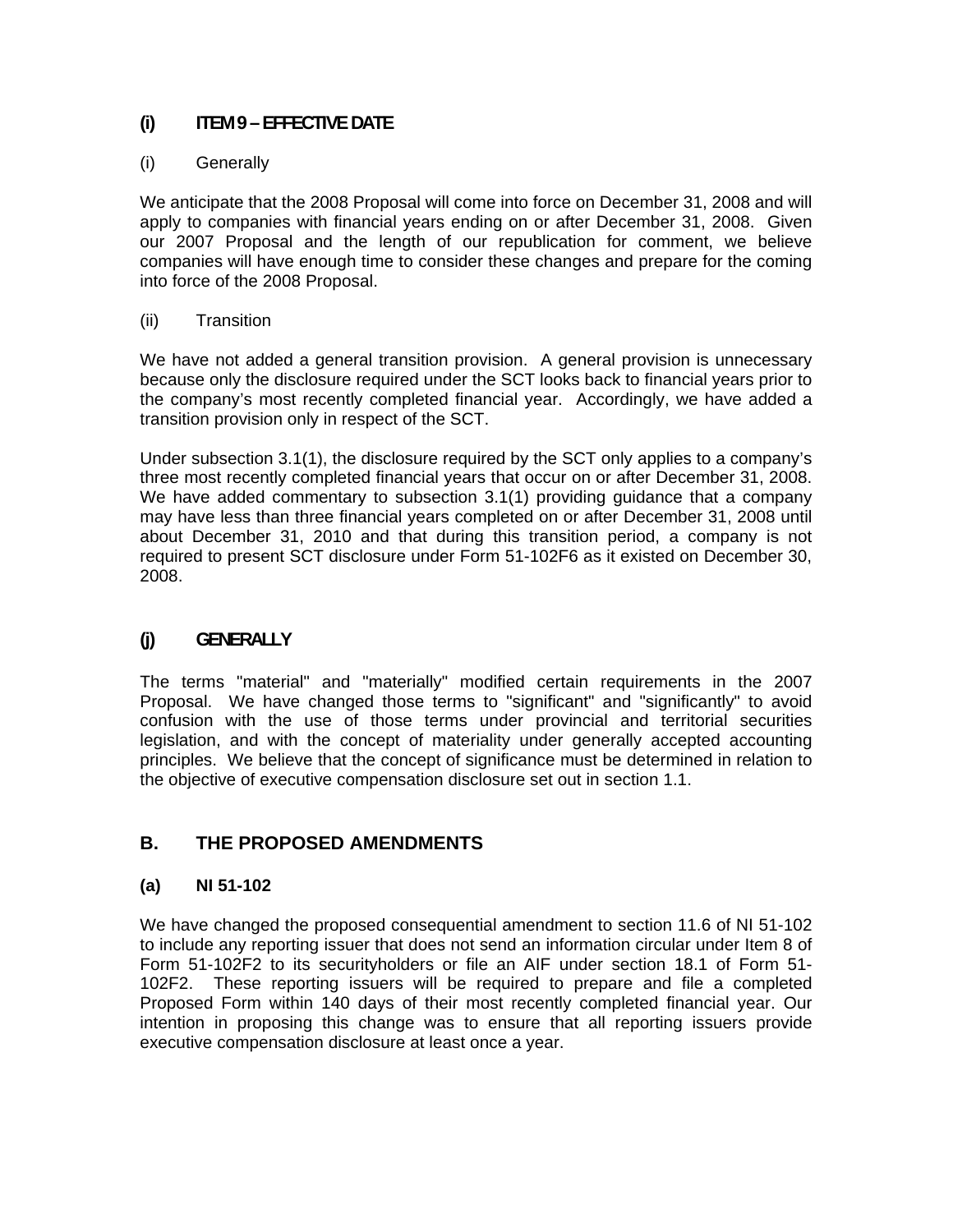## **(i) ITEM 9 – EFFECTIVE DATE**

### (i) Generally

We anticipate that the 2008 Proposal will come into force on December 31, 2008 and will apply to companies with financial years ending on or after December 31, 2008. Given our 2007 Proposal and the length of our republication for comment, we believe companies will have enough time to consider these changes and prepare for the coming into force of the 2008 Proposal.

#### (ii) Transition

We have not added a general transition provision. A general provision is unnecessary because only the disclosure required under the SCT looks back to financial years prior to the company's most recently completed financial year. Accordingly, we have added a transition provision only in respect of the SCT.

Under subsection 3.1(1), the disclosure required by the SCT only applies to a company's three most recently completed financial years that occur on or after December 31, 2008. We have added commentary to subsection 3.1(1) providing guidance that a company may have less than three financial years completed on or after December 31, 2008 until about December 31, 2010 and that during this transition period, a company is not required to present SCT disclosure under Form 51-102F6 as it existed on December 30, 2008.

## **(j) GENERALLY**

The terms "material" and "materially" modified certain requirements in the 2007 Proposal. We have changed those terms to "significant" and "significantly" to avoid confusion with the use of those terms under provincial and territorial securities legislation, and with the concept of materiality under generally accepted accounting principles. We believe that the concept of significance must be determined in relation to the objective of executive compensation disclosure set out in section 1.1.

# **B. THE PROPOSED AMENDMENTS**

## **(a) NI 51-102**

We have changed the proposed consequential amendment to section 11.6 of NI 51-102 to include any reporting issuer that does not send an information circular under Item 8 of Form 51-102F2 to its securityholders or file an AIF under section 18.1 of Form 51- 102F2. These reporting issuers will be required to prepare and file a completed Proposed Form within 140 days of their most recently completed financial year. Our intention in proposing this change was to ensure that all reporting issuers provide executive compensation disclosure at least once a year.